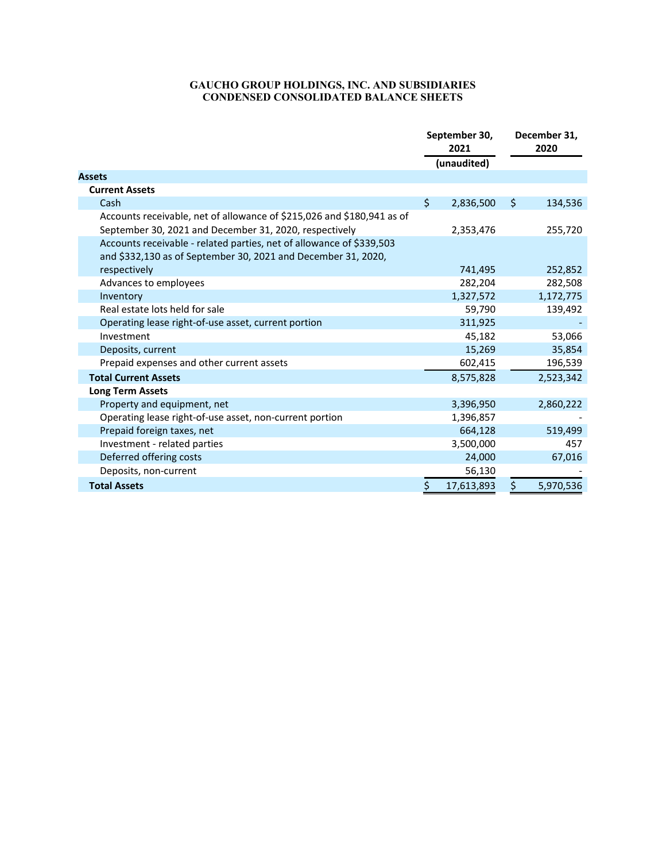## **GAUCHO GROUP HOLDINGS, INC. AND SUBSIDIARIES CONDENSED CONSOLIDATED BALANCE SHEETS**

|                                                                        | September 30,<br>2021 |             | December 31,<br>2020 |           |
|------------------------------------------------------------------------|-----------------------|-------------|----------------------|-----------|
|                                                                        |                       | (unaudited) |                      |           |
| <b>Assets</b>                                                          |                       |             |                      |           |
| <b>Current Assets</b>                                                  |                       |             |                      |           |
| Cash                                                                   | \$                    | 2,836,500   | \$                   | 134,536   |
| Accounts receivable, net of allowance of \$215,026 and \$180,941 as of |                       |             |                      |           |
| September 30, 2021 and December 31, 2020, respectively                 |                       | 2,353,476   |                      | 255,720   |
| Accounts receivable - related parties, net of allowance of \$339,503   |                       |             |                      |           |
| and \$332,130 as of September 30, 2021 and December 31, 2020,          |                       |             |                      |           |
| respectively                                                           |                       | 741,495     |                      | 252,852   |
| Advances to employees                                                  |                       | 282,204     |                      | 282,508   |
| Inventory                                                              |                       | 1,327,572   |                      | 1,172,775 |
| Real estate lots held for sale                                         |                       | 59,790      |                      | 139,492   |
| Operating lease right-of-use asset, current portion                    |                       | 311,925     |                      |           |
| Investment                                                             |                       | 45,182      |                      | 53,066    |
| Deposits, current                                                      |                       | 15,269      |                      | 35,854    |
| Prepaid expenses and other current assets                              |                       | 602,415     |                      | 196,539   |
| <b>Total Current Assets</b>                                            |                       | 8,575,828   |                      | 2,523,342 |
| <b>Long Term Assets</b>                                                |                       |             |                      |           |
| Property and equipment, net                                            |                       | 3,396,950   |                      | 2,860,222 |
| Operating lease right-of-use asset, non-current portion                |                       | 1,396,857   |                      |           |
| Prepaid foreign taxes, net                                             |                       | 664,128     |                      | 519,499   |
| Investment - related parties                                           |                       | 3,500,000   |                      | 457       |
| Deferred offering costs                                                |                       | 24,000      |                      | 67,016    |
| Deposits, non-current                                                  |                       | 56,130      |                      |           |
| <b>Total Assets</b>                                                    | Ś                     | 17,613,893  | \$                   | 5,970,536 |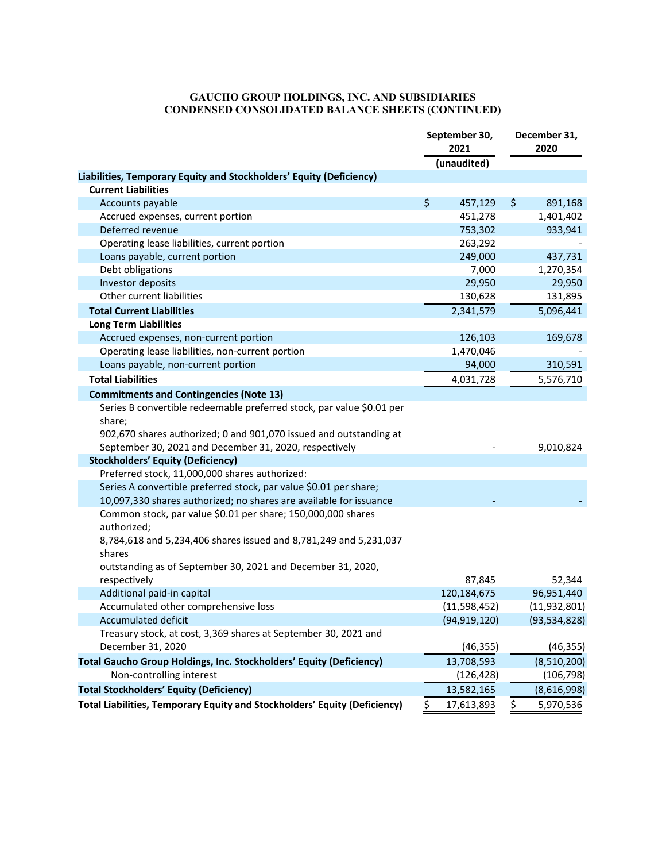## **GAUCHO GROUP HOLDINGS, INC. AND SUBSIDIARIES CONDENSED CONSOLIDATED BALANCE SHEETS (CONTINUED)**

|                                                                           | September 30,<br>2021 | December 31,<br>2020 |                |
|---------------------------------------------------------------------------|-----------------------|----------------------|----------------|
|                                                                           | (unaudited)           |                      |                |
| Liabilities, Temporary Equity and Stockholders' Equity (Deficiency)       |                       |                      |                |
| <b>Current Liabilities</b>                                                |                       |                      |                |
| Accounts payable                                                          | \$<br>457,129         | \$                   | 891,168        |
| Accrued expenses, current portion                                         | 451,278               |                      | 1,401,402      |
| Deferred revenue                                                          | 753,302               |                      | 933,941        |
| Operating lease liabilities, current portion                              | 263,292               |                      |                |
| Loans payable, current portion                                            | 249,000               |                      | 437,731        |
| Debt obligations                                                          | 7,000                 |                      | 1,270,354      |
| Investor deposits                                                         | 29,950                |                      | 29,950         |
| Other current liabilities                                                 | 130,628               |                      | 131,895        |
| <b>Total Current Liabilities</b>                                          | 2,341,579             |                      | 5,096,441      |
| <b>Long Term Liabilities</b>                                              |                       |                      |                |
| Accrued expenses, non-current portion                                     | 126,103               |                      | 169,678        |
| Operating lease liabilities, non-current portion                          | 1,470,046             |                      |                |
| Loans payable, non-current portion                                        | 94,000                |                      | 310,591        |
| <b>Total Liabilities</b>                                                  | 4,031,728             |                      | 5,576,710      |
| <b>Commitments and Contingencies (Note 13)</b>                            |                       |                      |                |
| Series B convertible redeemable preferred stock, par value \$0.01 per     |                       |                      |                |
| share:                                                                    |                       |                      |                |
| 902,670 shares authorized; 0 and 901,070 issued and outstanding at        |                       |                      |                |
| September 30, 2021 and December 31, 2020, respectively                    |                       |                      | 9,010,824      |
| <b>Stockholders' Equity (Deficiency)</b>                                  |                       |                      |                |
| Preferred stock, 11,000,000 shares authorized:                            |                       |                      |                |
| Series A convertible preferred stock, par value \$0.01 per share;         |                       |                      |                |
| 10,097,330 shares authorized; no shares are available for issuance        |                       |                      |                |
| Common stock, par value \$0.01 per share; 150,000,000 shares              |                       |                      |                |
| authorized;                                                               |                       |                      |                |
| 8,784,618 and 5,234,406 shares issued and 8,781,249 and 5,231,037         |                       |                      |                |
| shares                                                                    |                       |                      |                |
| outstanding as of September 30, 2021 and December 31, 2020,               |                       |                      |                |
| respectively                                                              | 87,845                |                      | 52,344         |
| Additional paid-in capital                                                | 120,184,675           |                      | 96,951,440     |
| Accumulated other comprehensive loss                                      | (11,598,452)          |                      | (11, 932, 801) |
| Accumulated deficit                                                       | (94, 919, 120)        |                      | (93, 534, 828) |
| Treasury stock, at cost, 3,369 shares at September 30, 2021 and           |                       |                      |                |
| December 31, 2020                                                         | (46, 355)             |                      | (46, 355)      |
| Total Gaucho Group Holdings, Inc. Stockholders' Equity (Deficiency)       | 13,708,593            |                      | (8,510,200)    |
| Non-controlling interest                                                  | (126, 428)            |                      | (106, 798)     |
|                                                                           |                       |                      |                |
| <b>Total Stockholders' Equity (Deficiency)</b>                            | 13,582,165            |                      | (8,616,998)    |
| Total Liabilities, Temporary Equity and Stockholders' Equity (Deficiency) | \$<br>17,613,893      | \$                   | 5,970,536      |